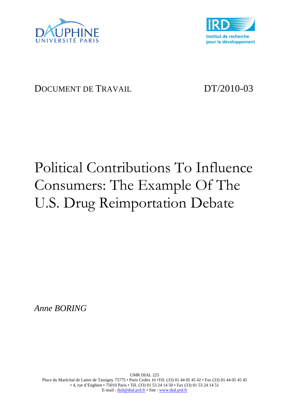



# DOCUMENT DE TRAVAIL DT/2010-03

# Political Contributions To Influence Consumers: The Example Of The U.S. Drug Reimportation Debate

*Anne BORING*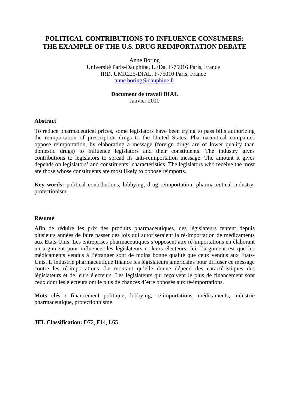# **POLITICAL CONTRIBUTIONS TO INFLUENCE CONSUMERS: THE EXAMPLE OF THE U.S. DRUG REIMPORTATION DEBATE**

Anne Boring Université Paris-Dauphine, LEDa, F-75016 Paris, France IRD, UMR225-DIAL, F-75010 Paris, France anne.boring@dauphine.fr

# **Document de travail DIAL**  Janvier 2010

# **Abstract**

To reduce pharmaceutical prices, some legislators have been trying to pass bills authorizing the reimportation of prescription drugs to the United States. Pharmaceutical companies oppose reimportation, by elaborating a message (foreign drugs are of lower quality than domestic drugs) to influence legislators and their constituents. The industry gives contributions to legislators to spread its anti-reimportation message. The amount it gives depends on legislators' and constituents' characteristics. The legislators who receive the most are those whose constituents are most likely to oppose reimports.

**Key words:** political contributions, lobbying, drug reimportation, pharmaceutical industry, protectionism

### **Résumé**

Afin de réduire les prix des produits pharmaceutiques, des législateurs tentent depuis plusieurs années de faire passer des lois qui autoriseraient la ré-importation de médicaments aux Etats-Unis. Les entreprises pharmaceutiques s'opposent aux ré-importations en élaborant un argument pour influencer les législateurs et leurs électeurs. Ici, l'argument est que les médicaments vendus à l'étranger sont de moins bonne qualité que ceux vendus aux Etats-Unis. L'industrie pharmaceutique finance les législateurs américains pour diffuser ce message contre les ré-importations. Le montant qu'elle donne dépend des caractéristiques des législateurs et de leurs électeurs. Les législateurs qui reçoivent le plus de financement sont ceux dont les électeurs ont le plus de chances d'être opposés aux ré-importations.

**Mots clés :** financement politique, lobbying, ré-importations, médicaments, industrie pharmaceutique, protectionnisme

**JEL Classification:** D72, F14, L65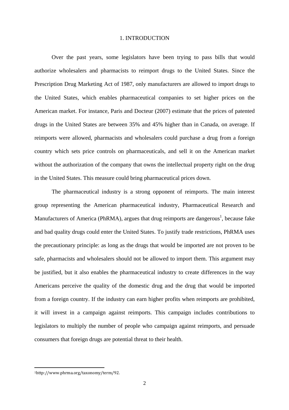#### 1. INTRODUCTION

Over the past years, some legislators have been trying to pass bills that would authorize wholesalers and pharmacists to reimport drugs to the United States. Since the Prescription Drug Marketing Act of 1987, only manufacturers are allowed to import drugs to the United States, which enables pharmaceutical companies to set higher prices on the American market. For instance, Paris and Docteur (2007) estimate that the prices of patented drugs in the United States are between 35% and 45% higher than in Canada, on average. If reimports were allowed, pharmacists and wholesalers could purchase a drug from a foreign country which sets price controls on pharmaceuticals, and sell it on the American market without the authorization of the company that owns the intellectual property right on the drug in the United States. This measure could bring pharmaceutical prices down.

The pharmaceutical industry is a strong opponent of reimports. The main interest group representing the American pharmaceutical industry, Pharmaceutical Research and Manufacturers of America (PhRMA), argues that drug reimports are dangerous<sup>1</sup>, because fake and bad quality drugs could enter the United States. To justify trade restrictions, PhRMA uses the precautionary principle: as long as the drugs that would be imported are not proven to be safe, pharmacists and wholesalers should not be allowed to import them. This argument may be justified, but it also enables the pharmaceutical industry to create differences in the way Americans perceive the quality of the domestic drug and the drug that would be imported from a foreign country. If the industry can earn higher profits when reimports are prohibited, it will invest in a campaign against reimports. This campaign includes contributions to legislators to multiply the number of people who campaign against reimports, and persuade consumers that foreign drugs are potential threat to their health.

<sup>1</sup>http://www.phrma.org/taxonomy/term/92.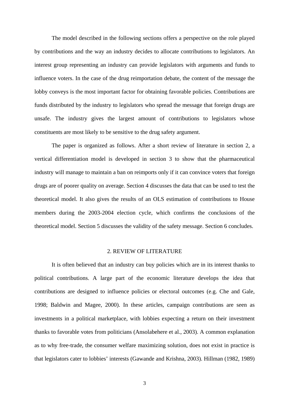The model described in the following sections offers a perspective on the role played by contributions and the way an industry decides to allocate contributions to legislators. An interest group representing an industry can provide legislators with arguments and funds to influence voters. In the case of the drug reimportation debate, the content of the message the lobby conveys is the most important factor for obtaining favorable policies. Contributions are funds distributed by the industry to legislators who spread the message that foreign drugs are unsafe. The industry gives the largest amount of contributions to legislators whose constituents are most likely to be sensitive to the drug safety argument.

The paper is organized as follows. After a short review of literature in section 2, a vertical differentiation model is developed in section 3 to show that the pharmaceutical industry will manage to maintain a ban on reimports only if it can convince voters that foreign drugs are of poorer quality on average. Section 4 discusses the data that can be used to test the theoretical model. It also gives the results of an OLS estimation of contributions to House members during the 2003-2004 election cycle, which confirms the conclusions of the theoretical model. Section 5 discusses the validity of the safety message. Section 6 concludes.

#### 2. REVIEW OF LITERATURE

It is often believed that an industry can buy policies which are in its interest thanks to political contributions. A large part of the economic literature develops the idea that contributions are designed to influence policies or electoral outcomes (e.g. Che and Gale, 1998; Baldwin and Magee, 2000). In these articles, campaign contributions are seen as investments in a political marketplace, with lobbies expecting a return on their investment thanks to favorable votes from politicians (Ansolabehere et al., 2003). A common explanation as to why free-trade, the consumer welfare maximizing solution, does not exist in practice is that legislators cater to lobbies' interests (Gawande and Krishna, 2003). Hillman (1982, 1989)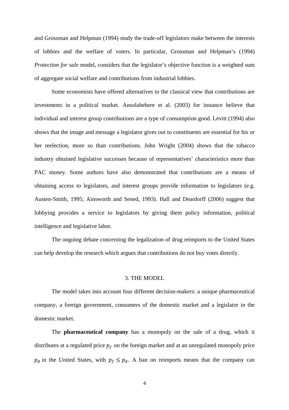and Grossman and Helpman (1994) study the trade-off legislators make between the interests of lobbies and the welfare of voters. In particular, Grossman and Helpman's (1994) *Protection for sale* model, considers that the legislator's objective function is a weighted sum of aggregate social welfare and contributions from industrial lobbies.

Some economists have offered alternatives to the classical view that contributions are investments in a political market. Ansolabehere et al. (2003) for instance believe that individual and interest group contributions are a type of consumption good. Levitt (1994) also shows that the image and message a legislator gives out to constituents are essential for his or her reelection, more so than contributions. John Wright (2004) shows that the tobacco industry obtained legislative successes because of representatives' characteristics more than PAC money. Some authors have also demonstrated that contributions are a means of obtaining access to legislators, and interest groups provide information to legislators (e.g. Austen-Smith, 1995; Ainsworth and Sened, 1993). Hall and Deardorff (2006) suggest that lobbying provides a service to legislators by giving them policy information, political intelligence and legislative labor.

The ongoing debate concerning the legalization of drug reimports to the United States can help develop the research which argues that contributions do not buy votes directly.

#### 3. THE MODEL

The model takes into account four different decision-makers: a unique pharmaceutical company, a foreign government, consumers of the domestic market and a legislator in the domestic market.

The **pharmaceutical company** has a monopoly on the sale of a drug, which it distributes at a regulated price  $p_f$  on the foreign market and at an unregulated monopoly price  $p_d$  in the United States, with  $p_f \leq p_d$ . A ban on reimports means that the company can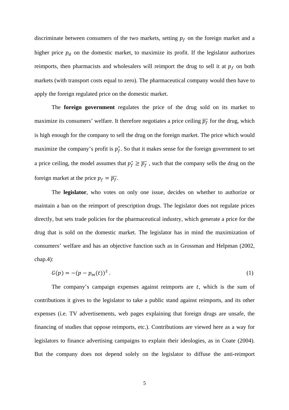discriminate between consumers of the two markets, setting  $p_f$  on the foreign market and a higher price  $p_d$  on the domestic market, to maximize its profit. If the legislator authorizes reimports, then pharmacists and wholesalers will reimport the drug to sell it at  $p_f$  on both markets (with transport costs equal to zero). The pharmaceutical company would then have to apply the foreign regulated price on the domestic market.

The **foreign government** regulates the price of the drug sold on its market to maximize its consumers' welfare. It therefore negotiates a price ceiling  $\overline{p_f}$  for the drug, which is high enough for the company to sell the drug on the foreign market. The price which would maximize the company's profit is  $p_f^*$ . So that it makes sense for the foreign government to set a price ceiling, the model assumes that  $p_f^* \ge \overline{p_f}$ , such that the company sells the drug on the foreign market at the price  $p_f = \overline{p_f}$ .

The **legislator**, who votes on only one issue, decides on whether to authorize or maintain a ban on the reimport of prescription drugs. The legislator does not regulate prices directly, but sets trade policies for the pharmaceutical industry, which generate a price for the drug that is sold on the domestic market. The legislator has in mind the maximization of consumers' welfare and has an objective function such as in Grossman and Helpman (2002, chap.4):

$$
G(p) = -(p - p_m(t))^2.
$$
 (1)

The company's campaign expenses against reimports are  $t$ , which is the sum of contributions it gives to the legislator to take a public stand against reimports, and its other expenses (i.e. TV advertisements, web pages explaining that foreign drugs are unsafe, the financing of studies that oppose reimports, etc.). Contributions are viewed here as a way for legislators to finance advertising campaigns to explain their ideologies, as in Coate (2004). But the company does not depend solely on the legislator to diffuse the anti-reimport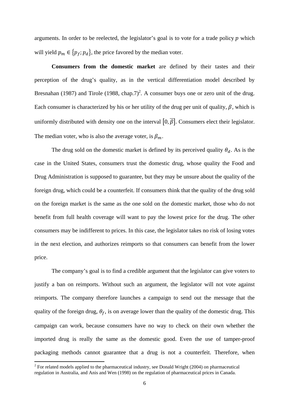arguments. In order to be reelected, the legislator's goal is to vote for a trade policy  $p$  which will yield  $p_m \in \{p_f, p_d\}$ , the price favored by the median voter.

**Consumers from the domestic market** are defined by their tastes and their perception of the drug's quality, as in the vertical differentiation model described by Bresnahan (1987) and Tirole (1988, chap.7)<sup>2</sup>. A consumer buys one or zero unit of the drug. Each consumer is characterized by his or her utility of the drug per unit of quality,  $\beta$ , which is uniformly distributed with density one on the interval  $[0, \overline{\beta}]$ . Consumers elect their legislator. The median voter, who is also the average voter, is  $\beta_m$ .

The drug sold on the domestic market is defined by its perceived quality  $\theta_d$ . As is the case in the United States, consumers trust the domestic drug, whose quality the Food and Drug Administration is supposed to guarantee, but they may be unsure about the quality of the foreign drug, which could be a counterfeit. If consumers think that the quality of the drug sold on the foreign market is the same as the one sold on the domestic market, those who do not benefit from full health coverage will want to pay the lowest price for the drug. The other consumers may be indifferent to prices. In this case, the legislator takes no risk of losing votes in the next election, and authorizes reimports so that consumers can benefit from the lower price.

The company's goal is to find a credible argument that the legislator can give voters to justify a ban on reimports. Without such an argument, the legislator will not vote against reimports. The company therefore launches a campaign to send out the message that the quality of the foreign drug,  $\theta_f$ , is on average lower than the quality of the domestic drug. This campaign can work, because consumers have no way to check on their own whether the imported drug is really the same as the domestic good. Even the use of tamper-proof packaging methods cannot guarantee that a drug is not a counterfeit. Therefore, when

 $2^{2}$  For related models applied to the pharmaceutical industry, see Donald Wright (2004) on pharmaceutical regulation in Australia, and Anis and Wen (1998) on the regulation of pharmaceutical prices in Canada.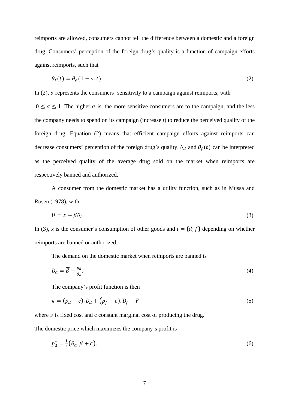reimports are allowed, consumers cannot tell the difference between a domestic and a foreign drug. Consumers' perception of the foreign drug's quality is a function of campaign efforts against reimports, such that

$$
\theta_f(t) = \theta_d(1 - \sigma \cdot t). \tag{2}
$$

In  $(2)$ ,  $\sigma$  represents the consumers' sensitivity to a campaign against reimports, with

 $0 \le \sigma \le 1$ . The higher  $\sigma$  is, the more sensitive consumers are to the campaign, and the less the company needs to spend on its campaign (increase *t*) to reduce the perceived quality of the foreign drug. Equation (2) means that efficient campaign efforts against reimports can decrease consumers' perception of the foreign drug's quality.  $\theta_d$  and  $\theta_f(t)$  can be interpreted as the perceived quality of the average drug sold on the market when reimports are respectively banned and authorized.

A consumer from the domestic market has a utility function, such as in Mussa and Rosen (1978), with

$$
U = x + \beta \theta_i. \tag{3}
$$

In (3), *x* is the consumer's consumption of other goods and  $i = \{d, f\}$  depending on whether reimports are banned or authorized.

The demand on the domestic market when reimports are banned is

$$
D_d = \overline{\beta} - \frac{p_d}{\theta_d}.\tag{4}
$$

The company's profit function is then

$$
\pi = (p_d - c) \cdot D_d + (\overline{p_f} - c) \cdot D_f - F \tag{5}
$$

where F is fixed cost and c constant marginal cost of producing the drug.

The domestic price which maximizes the company's profit is

$$
p_d^* = \frac{1}{2} \left( \theta_d \cdot \overline{\beta} + c \right). \tag{6}
$$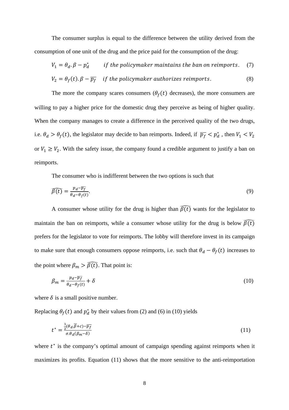The consumer surplus is equal to the difference between the utility derived from the consumption of one unit of the drug and the price paid for the consumption of the drug:

$$
V_1 = \theta_d \cdot \beta - p_d^*
$$
 if the policymaker maintains the ban on reimports. (7)  

$$
V_2 = \theta_f(t) \cdot \beta - \overline{p_f}
$$
 if the policymaker authorities reimports. (8)

The more the company scares consumers ( $\theta_f(t)$  decreases), the more consumers are willing to pay a higher price for the domestic drug they perceive as being of higher quality. When the company manages to create a difference in the perceived quality of the two drugs, i.e.  $\theta_d > \theta_f(t)$ , the legislator may decide to ban reimports. Indeed, if  $\overline{p_f} < p_d^*$ , then  $V_1 < V_2$ or  $V_1 \geq V_2$ . With the safety issue, the company found a credible argument to justify a ban on reimports.

The consumer who is indifferent between the two options is such that

$$
\widehat{\beta(t)} = \frac{p_d - \overline{p_f}}{\theta_d - \theta_f(t)}.
$$
\n(9)

A consumer whose utility for the drug is higher than  $\widehat{\beta(t)}$  wants for the legislator to maintain the ban on reimports, while a consumer whose utility for the drug is below  $\widehat{B(t)}$ prefers for the legislator to vote for reimports. The lobby will therefore invest in its campaign to make sure that enough consumers oppose reimports, i.e. such that  $\theta_d - \theta_f(t)$  increases to the point where  $\beta_m > \widehat{\beta(t)}$ . That point is:

$$
\beta_m = \frac{p_d - \overline{p_f}}{\theta_d - \theta_f(t)} + \delta \tag{10}
$$

where  $\delta$  is a small positive number.

Replacing  $\theta_f(t)$  and  $p_d^*$  by their values from (2) and (6) in (10) yields

$$
t^* = \frac{\frac{1}{2}(\theta_d \overline{\beta} + c) - \overline{p_f}}{\sigma \theta_d(\beta_m - \delta)}\tag{11}
$$

where  $t^*$  is the company's optimal amount of campaign spending against reimports when it maximizes its profits. Equation (11) shows that the more sensitive to the anti-reimportation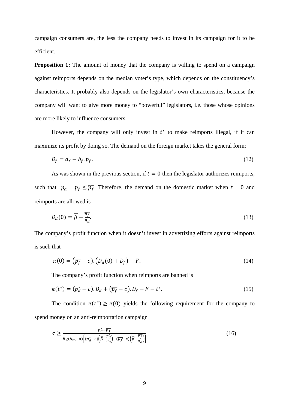campaign consumers are, the less the company needs to invest in its campaign for it to be efficient.

**Proposition 1:** The amount of money that the company is willing to spend on a campaign against reimports depends on the median voter's type, which depends on the constituency's characteristics. It probably also depends on the legislator's own characteristics, because the company will want to give more money to "powerful" legislators, i.e. those whose opinions are more likely to influence consumers.

However, the company will only invest in  $t^*$  to make reimports illegal, if it can maximize its profit by doing so. The demand on the foreign market takes the general form:

$$
D_f = a_f - b_f \cdot p_f. \tag{12}
$$

As was shown in the previous section, if  $t = 0$  then the legislator authorizes reimports, such that  $p_d = p_f \le \overline{p_f}$ . Therefore, the demand on the domestic market when  $t = 0$  and reimports are allowed is

$$
D_d(0) = \overline{\beta} - \frac{\overline{p_f}}{\theta_d}.\tag{13}
$$

The company's profit function when it doesn't invest in advertizing efforts against reimports is such that

$$
\pi(0) = \left(\overline{p_f} - c\right) \left(D_d(0) + D_f\right) - F. \tag{14}
$$

The company's profit function when reimports are banned is

$$
\pi(t^*) = (p_d^* - c) \cdot D_d + (\overline{p_f} - c) \cdot D_f - F - t^*.
$$
\n(15)

The condition  $\pi(t^*) \geq \pi(0)$  yields the following requirement for the company to spend money on an anti-reimportation campaign

$$
\sigma \ge \frac{p_d^* - \overline{p_f}}{\theta_d(\beta_m - \delta) \left[ (p_d^* - c) \left( \overline{\beta} - \frac{p_d^*}{\theta_d} \right) - (\overline{p_f} - c) \left( \overline{\beta} - \frac{\overline{p_f}}{\theta_d} \right) \right]}
$$
(16)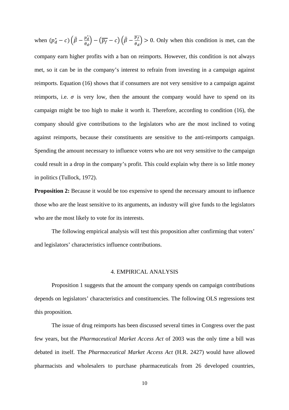when  $(p_d^* - c) (\bar{\beta} - \frac{p_d^*}{q_d})$  $\left(\frac{p_d^*}{\theta_d}\right)-\left(\overline{p_f}-c\right)\left(\bar{\beta}-\frac{\overline{p_f}}{\theta_d}\right)$  $\left(\frac{\rho_f}{\theta_d}\right) > 0$ . Only when this condition is met, can the company earn higher profits with a ban on reimports. However, this condition is not always met, so it can be in the company's interest to refrain from investing in a campaign against reimports. Equation (16) shows that if consumers are not very sensitive to a campaign against reimports, i.e.  $\sigma$  is very low, then the amount the company would have to spend on its campaign might be too high to make it worth it. Therefore, according to condition (16), the company should give contributions to the legislators who are the most inclined to voting against reimports, because their constituents are sensitive to the anti-reimports campaign. Spending the amount necessary to influence voters who are not very sensitive to the campaign could result in a drop in the company's profit. This could explain why there is so little money in politics (Tullock, 1972).

**Proposition 2:** Because it would be too expensive to spend the necessary amount to influence those who are the least sensitive to its arguments, an industry will give funds to the legislators who are the most likely to vote for its interests.

The following empirical analysis will test this proposition after confirming that voters' and legislators' characteristics influence contributions.

#### 4. EMPIRICAL ANALYSIS

Proposition 1 suggests that the amount the company spends on campaign contributions depends on legislators' characteristics and constituencies. The following OLS regressions test this proposition.

The issue of drug reimports has been discussed several times in Congress over the past few years, but the *Pharmaceutical Market Access Act* of 2003 was the only time a bill was debated in itself. The *Pharmaceutical Market Access Act* (H.R. 2427) would have allowed pharmacists and wholesalers to purchase pharmaceuticals from 26 developed countries,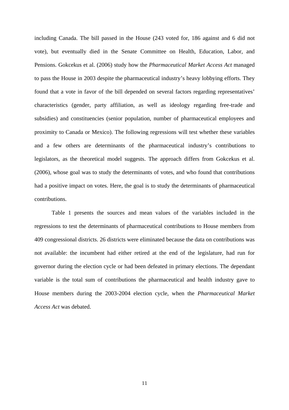including Canada. The bill passed in the House (243 voted for, 186 against and 6 did not vote), but eventually died in the Senate Committee on Health, Education, Labor, and Pensions. Gokcekus et al. (2006) study how the *Pharmaceutical Market Access Act* managed to pass the House in 2003 despite the pharmaceutical industry's heavy lobbying efforts. They found that a vote in favor of the bill depended on several factors regarding representatives' characteristics (gender, party affiliation, as well as ideology regarding free-trade and subsidies) and constituencies (senior population, number of pharmaceutical employees and proximity to Canada or Mexico). The following regressions will test whether these variables and a few others are determinants of the pharmaceutical industry's contributions to legislators, as the theoretical model suggests. The approach differs from Gokcekus et al. (2006), whose goal was to study the determinants of votes, and who found that contributions had a positive impact on votes. Here, the goal is to study the determinants of pharmaceutical contributions.

Table 1 presents the sources and mean values of the variables included in the regressions to test the determinants of pharmaceutical contributions to House members from 409 congressional districts. 26 districts were eliminated because the data on contributions was not available: the incumbent had either retired at the end of the legislature, had run for governor during the election cycle or had been defeated in primary elections. The dependant variable is the total sum of contributions the pharmaceutical and health industry gave to House members during the 2003-2004 election cycle, when the *Pharmaceutical Market Access Act* was debated.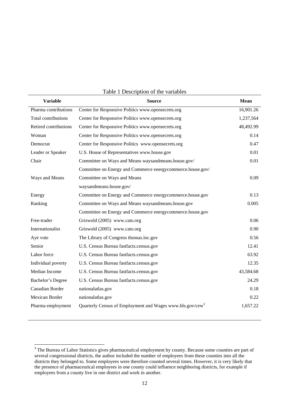| <b>Variable</b>       | <b>Source</b>                                                         | <b>Mean</b> |
|-----------------------|-----------------------------------------------------------------------|-------------|
| Pharma contributions  | Center for Responsive Politics www.opensecrets.org                    | 16,901.26   |
| Total contributions   | Center for Responsive Politics www.opensecrets.org                    | 1,237,564   |
| Retired contributions | Center for Responsive Politics www.opensecrets.org                    | 48,492.99   |
| Woman                 | Center for Responsive Politics www.opensecrets.org                    | 0.14        |
| Democrat              | Center for Responsive Politics www.opensecrets.org                    | 0.47        |
| Leader or Speaker     | U.S. House of Representatives www.house.gov                           | 0.01        |
| Chair                 | Committee on Ways and Means waysandmeans.house.gov/                   | 0.01        |
|                       | Committee on Energy and Commerce energycommerce.house.gov/            |             |
| Ways and Means        | Committee on Ways and Means                                           | 0.09        |
|                       | waysandmeans.house.gov/                                               |             |
| Energy                | Committee on Energy and Commerce energycommerce.house.gov             | 0.13        |
| Ranking               | Committee on Ways and Means waysandmeans.house.gov                    | 0.005       |
|                       | Committee on Energy and Commerce energycommerce.house.gov             |             |
| Free-trader           | Griswold (2005) www.cato.org                                          | 0.06        |
| Internationalist      | Griswold (2005) www.cato.org                                          | 0.90        |
| Aye vote              | The Library of Congress thomas.loc.gov                                | 0.56        |
| Senior                | U.S. Census Bureau fastfacts.census.gov                               | 12.41       |
| Labor force           | U.S. Census Bureau fastfacts.census.gov                               | 63.92       |
| Individual poverty    | U.S. Census Bureau fastfacts.census.gov                               | 12.35       |
| Median Income         | U.S. Census Bureau fastfacts.census.gov                               | 43,584.68   |
| Bachelor's Degree     | U.S. Census Bureau fastfacts.census.gov                               | 24.29       |
| Canadian Border       | nationalatlas.gov                                                     | 0.18        |
| Mexican Border        | nationalatlas.gov                                                     | 0.22        |
| Pharma employment     | Quarterly Census of Employment and Wages www.bls.gov/cew <sup>3</sup> | 1,657.22    |

#### Table 1 Description of the variables

<sup>&</sup>lt;sup>3</sup> The Bureau of Labor Statistics gives pharmaceutical employment by county. Because some counties are part of several congressional districts, the author included the number of employees from these counties into all the districts they belonged to. Some employees were therefore counted several times. However, it is very likely that the presence of pharmaceutical employees in one county could influence neighboring districts, for example if employees from a county live in one district and work in another.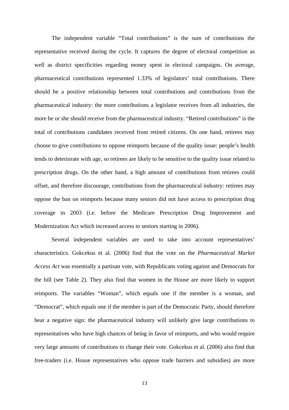The independent variable "Total contributions" is the sum of contributions the representative received during the cycle. It captures the degree of electoral competition as well as district specificities regarding money spent in electoral campaigns. On average, pharmaceutical contributions represented 1.33% of legislators' total contributions. There should be a positive relationship between total contributions and contributions from the pharmaceutical industry: the more contributions a legislator receives from all industries, the more he or she should receive from the pharmaceutical industry. "Retired contributions" is the total of contributions candidates received from retired citizens. On one hand, retirees may choose to give contributions to oppose reimports because of the quality issue: people's health tends to deteriorate with age, so retirees are likely to be sensitive to the quality issue related to prescription drugs. On the other hand, a high amount of contributions from retirees could offset, and therefore discourage, contributions from the pharmaceutical industry: retirees may oppose the ban on reimports because many seniors did not have access to prescription drug coverage in 2003 (i.e. before the Medicare Prescription Drug Improvement and Modernization Act which increased access to seniors starting in 2006).

Several independent variables are used to take into account representatives' characteristics. Gokcekus et al. (2006) find that the vote on the *Pharmaceutical Market Access Act* was essentially a partisan vote, with Republicans voting against and Democrats for the bill (see Table 2). They also find that women in the House are more likely to support reimports. The variables "Woman", which equals one if the member is a woman, and "Democrat", which equals one if the member is part of the Democratic Party, should therefore bear a negative sign: the pharmaceutical industry will unlikely give large contributions to representatives who have high chances of being in favor of reimports, and who would require very large amounts of contributions to change their vote. Gokcekus et al. (2006) also find that free-traders (i.e. House representatives who oppose trade barriers and subsidies) are more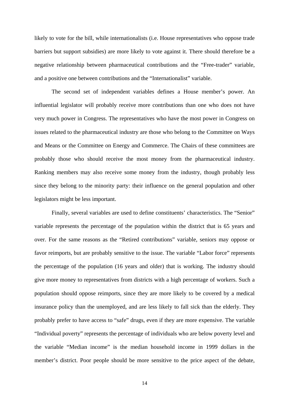likely to vote for the bill, while internationalists (i.e. House representatives who oppose trade barriers but support subsidies) are more likely to vote against it. There should therefore be a negative relationship between pharmaceutical contributions and the "Free-trader" variable, and a positive one between contributions and the "Internationalist" variable.

 The second set of independent variables defines a House member's power. An influential legislator will probably receive more contributions than one who does not have very much power in Congress. The representatives who have the most power in Congress on issues related to the pharmaceutical industry are those who belong to the Committee on Ways and Means or the Committee on Energy and Commerce. The Chairs of these committees are probably those who should receive the most money from the pharmaceutical industry. Ranking members may also receive some money from the industry, though probably less since they belong to the minority party: their influence on the general population and other legislators might be less important.

 Finally, several variables are used to define constituents' characteristics. The "Senior" variable represents the percentage of the population within the district that is 65 years and over. For the same reasons as the "Retired contributions" variable, seniors may oppose or favor reimports, but are probably sensitive to the issue. The variable "Labor force" represents the percentage of the population (16 years and older) that is working. The industry should give more money to representatives from districts with a high percentage of workers. Such a population should oppose reimports, since they are more likely to be covered by a medical insurance policy than the unemployed, and are less likely to fall sick than the elderly. They probably prefer to have access to "safe" drugs, even if they are more expensive. The variable "Individual poverty" represents the percentage of individuals who are below poverty level and the variable "Median income" is the median household income in 1999 dollars in the member's district. Poor people should be more sensitive to the price aspect of the debate,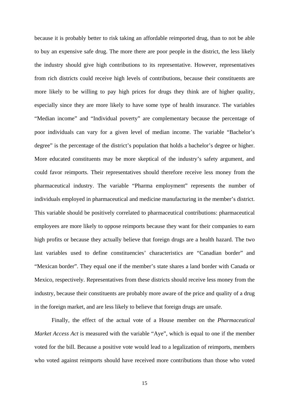because it is probably better to risk taking an affordable reimported drug, than to not be able to buy an expensive safe drug. The more there are poor people in the district, the less likely the industry should give high contributions to its representative. However, representatives from rich districts could receive high levels of contributions, because their constituents are more likely to be willing to pay high prices for drugs they think are of higher quality, especially since they are more likely to have some type of health insurance. The variables "Median income" and "Individual poverty" are complementary because the percentage of poor individuals can vary for a given level of median income. The variable "Bachelor's degree" is the percentage of the district's population that holds a bachelor's degree or higher. More educated constituents may be more skeptical of the industry's safety argument, and could favor reimports. Their representatives should therefore receive less money from the pharmaceutical industry. The variable "Pharma employment" represents the number of individuals employed in pharmaceutical and medicine manufacturing in the member's district. This variable should be positively correlated to pharmaceutical contributions: pharmaceutical employees are more likely to oppose reimports because they want for their companies to earn high profits or because they actually believe that foreign drugs are a health hazard. The two last variables used to define constituencies' characteristics are "Canadian border" and "Mexican border". They equal one if the member's state shares a land border with Canada or Mexico, respectively. Representatives from these districts should receive less money from the industry, because their constituents are probably more aware of the price and quality of a drug in the foreign market, and are less likely to believe that foreign drugs are unsafe.

Finally, the effect of the actual vote of a House member on the *Pharmaceutical Market Access Act* is measured with the variable "Aye", which is equal to one if the member voted for the bill. Because a positive vote would lead to a legalization of reimports, members who voted against reimports should have received more contributions than those who voted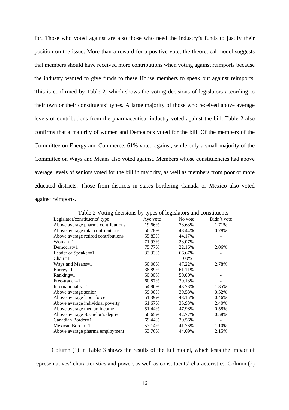for. Those who voted against are also those who need the industry's funds to justify their position on the issue. More than a reward for a positive vote, the theoretical model suggests that members should have received more contributions when voting against reimports because the industry wanted to give funds to these House members to speak out against reimports. This is confirmed by Table 2, which shows the voting decisions of legislators according to their own or their constituents' types. A large majority of those who received above average levels of contributions from the pharmaceutical industry voted against the bill. Table 2 also confirms that a majority of women and Democrats voted for the bill. Of the members of the Committee on Energy and Commerce, 61% voted against, while only a small majority of the Committee on Ways and Means also voted against. Members whose constituencies had above average levels of seniors voted for the bill in majority, as well as members from poor or more educated districts. Those from districts in states bordering Canada or Mexico also voted against reimports.

| Table 2 Voting decisions by types of legislators and constituents |          |         |             |  |  |  |  |
|-------------------------------------------------------------------|----------|---------|-------------|--|--|--|--|
| Legislator/constituents' type                                     | Aye vote | No vote | Didn't vote |  |  |  |  |
| Above average pharma contributions                                | 19.66%   | 78.63%  | 1.71%       |  |  |  |  |
| Above average total contributions                                 | 50.78%   | 48.44%  | 0.78%       |  |  |  |  |
| Above average retired contributions                               | 55.83%   | 44.17%  |             |  |  |  |  |
| Woman=1                                                           | 71.93%   | 28.07%  |             |  |  |  |  |
| $Democrat=1$                                                      | 75.77%   | 22.16%  | 2.06%       |  |  |  |  |
| Leader or Speaker=1                                               | 33.33%   | 66.67%  |             |  |  |  |  |
| $Chain = 1$                                                       |          | 100%    |             |  |  |  |  |
| Ways and Means=1                                                  | 50.00%   | 47.22%  | 2.78%       |  |  |  |  |
| $Energy=1$                                                        | 38.89%   | 61.11%  |             |  |  |  |  |
| Ranking=1                                                         | 50.00%   | 50.00%  |             |  |  |  |  |
| $Free\text{-}trade\text{-}1$                                      | 60.87%   | 39.13%  |             |  |  |  |  |
| Internationalist=1                                                | 54.86%   | 43.78%  | 1.35%       |  |  |  |  |
| Above average senior                                              | 59.90%   | 39.58%  | 0.52%       |  |  |  |  |
| Above average labor force                                         | 51.39%   | 48.15%  | 0.46%       |  |  |  |  |
| Above average individual poverty                                  | 61.67%   | 35.93%  | 2.40%       |  |  |  |  |
| Above average median income                                       | 51.44%   | 47.98%  | 0.58%       |  |  |  |  |
| Above average Bachelor's degree                                   | 56.65%   | 42.77%  | 0.58%       |  |  |  |  |
| Canadian Border=1                                                 | 69.44%   | 30.56%  |             |  |  |  |  |
| Mexican Border= $1$                                               | 57.14%   | 41.76%  | 1.10%       |  |  |  |  |
| Above average pharma employment                                   | 53.76%   | 44.09%  | 2.15%       |  |  |  |  |

Table 2 Voting decisions by types of legislators and constituents

Column (1) in Table 3 shows the results of the full model, which tests the impact of representatives' characteristics and power, as well as constituents' characteristics. Column (2)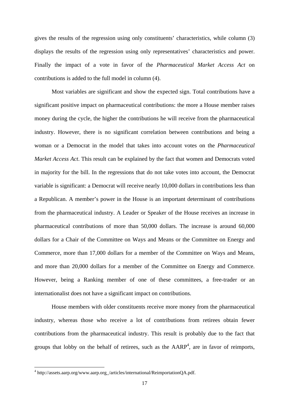gives the results of the regression using only constituents' characteristics, while column (3) displays the results of the regression using only representatives' characteristics and power. Finally the impact of a vote in favor of the *Pharmaceutical Market Access Act* on contributions is added to the full model in column (4).

Most variables are significant and show the expected sign. Total contributions have a significant positive impact on pharmaceutical contributions: the more a House member raises money during the cycle, the higher the contributions he will receive from the pharmaceutical industry. However, there is no significant correlation between contributions and being a woman or a Democrat in the model that takes into account votes on the *Pharmaceutical Market Access Act*. This result can be explained by the fact that women and Democrats voted in majority for the bill. In the regressions that do not take votes into account, the Democrat variable is significant: a Democrat will receive nearly 10,000 dollars in contributions less than a Republican. A member's power in the House is an important determinant of contributions from the pharmaceutical industry. A Leader or Speaker of the House receives an increase in pharmaceutical contributions of more than 50,000 dollars. The increase is around 60,000 dollars for a Chair of the Committee on Ways and Means or the Committee on Energy and Commerce, more than 17,000 dollars for a member of the Committee on Ways and Means, and more than 20,000 dollars for a member of the Committee on Energy and Commerce. However, being a Ranking member of one of these committees, a free-trader or an internationalist does not have a significant impact on contributions.

House members with older constituents receive more money from the pharmaceutical industry, whereas those who receive a lot of contributions from retirees obtain fewer contributions from the pharmaceutical industry. This result is probably due to the fact that groups that lobby on the behalf of retirees, such as the  $AARP<sup>4</sup>$ , are in favor of reimports,

<sup>4</sup> http://assets.aarp.org/www.aarp.org\_/articles/international/ReimportationQA.pdf.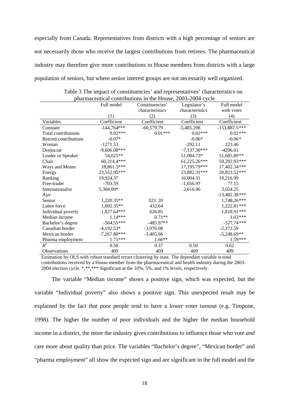especially from Canada. Representatives from districts with a high percentage of seniors are not necessarily those who receive the largest contributions from retirees. The pharmaceutical industry may therefore give more contributions to House members from districts with a large population of seniors, but where senior interest groups are not necessarily well organized.

|                       | Full model     | $m$ and $m$ contributions in the House, 2009 2004 Cycle<br>Constituencies' | Legislator's    | Full model      |
|-----------------------|----------------|----------------------------------------------------------------------------|-----------------|-----------------|
|                       |                | characteristics                                                            | characteristics | with votes      |
|                       | (1)            | (2)                                                                        | (3)             | (4)             |
| Variables             | Coefficient    | Coefficient                                                                | Coefficient     | Coefficient     |
| Constant              | $-144,764***$  | $-60,579.79$                                                               | $-5,485.298$    | $-153,887.5***$ |
| Total contributions   | $0.02***$      | $0.01***$                                                                  | $0.02***$       | $0.02***$       |
| Retired contributions | $-0.07*$       |                                                                            | $-0.06*$        | $-0.06*$        |
| Woman                 | $-1271.53$     |                                                                            | $-292.11$       | 223.46          |
| Democrat              | $-9,606.08***$ |                                                                            | $-7,137.30***$  | $-4296.01$      |
| Leader or Speaker     | 54,025**       |                                                                            | 51,084.73*      | 51,685.89**     |
| Chair                 | 60,214.4***    |                                                                            | 61,225.26***    | 59,292.93***    |
| Ways and Means        | 18,861.3***    |                                                                            | 17,195.79***    | 17,402.34***    |
| Energy                | 23,552.95***   |                                                                            | 23,882.31***    | 20,823.52***    |
| Ranking               | 19,924.37      |                                                                            | 16,004.31       | 19,216.99       |
| Free-trader           | $-703.59$      |                                                                            | $-1,656.97$     | 77.15           |
| Internationalist      | 5,304.09*      |                                                                            | 2,616.96        | 3,024.25        |
| Aye                   |                |                                                                            |                 | $-13,482.38***$ |
| Senior                | $1,220.35**$   | 323.20                                                                     |                 | 1,748.26***     |
| Labor force           | $1,002.35**$   | 432.64                                                                     |                 | 1,222.81***     |
| Individual poverty    | 1,827.64***    | 626.85                                                                     |                 | 1,818.91***     |
| Median income         | $1.14***$      | $0.71**$                                                                   |                 | $1.03***$       |
| Bachelor's degree     | $-564.55***$   | $-485.97**$                                                                |                 | $-527.74***$    |
| Canadian border       | $-4,192.53*$   | $-3,976.08$                                                                |                 | $-2,372.59$     |
| Mexican border        | $-7,267.80***$ | $-3,405.66$                                                                |                 | $-5,248.69**$   |
| Pharma employment     | $1.71***$      | $1.66**$                                                                   |                 | 1.59***         |
| $R^2$                 | 0.58           | 0.37                                                                       | 0.50            | 0.62            |
| <b>Observations</b>   | 409            | 409                                                                        | 409             | 409             |

|  | Table 3 The impact of constituencies' and representatives' characteristics on |  |
|--|-------------------------------------------------------------------------------|--|
|  | pharmaceutical contributions in the House, 2003-2004 cycle                    |  |

Estimation by OLS with robust standard errors clustering by state. The dependant variable is total contributions received by a House member from the pharmaceutical and health industry during the 2003- 2004 election cycle. \*,\*\*,\*\*\* Significant at the 10%, 5%, and 1% levels, respectively.

The variable "Median income" shows a positive sign, which was expected, but the variable "Individual poverty" also shows a positive sign. This unexpected result may be explained by the fact that poor people tend to have a lower voter turnout (e.g. Timpone, 1998). The higher the number of poor individuals and the higher the median household income in a district, the more the industry gives contributions to influence those who vote *and*  care more about quality than price. The variables "Bachelor's degree", "Mexican border" and "pharma employment" all show the expected sign and are significant in the full model and the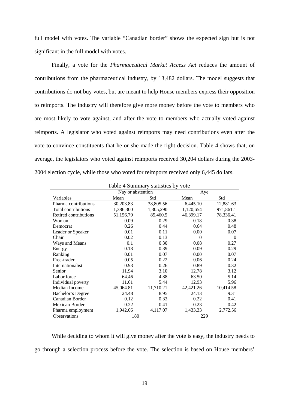full model with votes. The variable "Canadian border" shows the expected sign but is not significant in the full model with votes.

Finally, a vote for the *Pharmaceutical Market Access Act* reduces the amount of contributions from the pharmaceutical industry, by 13,482 dollars. The model suggests that contributions do not buy votes, but are meant to help House members express their opposition to reimports. The industry will therefore give more money before the vote to members who are most likely to vote against, and after the vote to members who actually voted against reimports. A legislator who voted against reimports may need contributions even after the vote to convince constituents that he or she made the right decision. Table 4 shows that, on average, the legislators who voted against reimports received 30,204 dollars during the 2003- 2004 election cycle, while those who voted for reimports received only 6,445 dollars.

|                       | Nay or abstention |           | Aye       |           |  |
|-----------------------|-------------------|-----------|-----------|-----------|--|
| Variables             | Mean              | Std       | Mean      | Std       |  |
| Pharma contributions  | 30,203.83         | 38,805.56 | 6,445.10  | 12,881.63 |  |
| Total contributions   | 1,386,300         | 1,305,290 | 1,120,654 | 971,861.1 |  |
| Retired contributions | 51,156.79         | 85,460.5  | 46,399.17 | 78,336.41 |  |
| Woman                 | 0.09              | 0.29      | 0.18      | 0.38      |  |
| Democrat              | 0.26              | 0.44      | 0.64      | 0.48      |  |
| Leader or Speaker     | 0.01              | 0.11      | 0.00      | 0.07      |  |
| Chair                 | 0.02              | 0.13      | $\Omega$  | 0         |  |
| Ways and Means        | 0.1               | 0.30      | 0.08      | 0.27      |  |
| Energy                | 0.18              | 0.39      | 0.09      | 0.29      |  |
| Ranking               | 0.01              | 0.07      | 0.00      | 0.07      |  |
| Free-trader           | 0.05              | 0.22      | 0.06      | 0.24      |  |
| Internationalist      | 0.93              | 0.26      | 0.89      | 0.32      |  |
| Senior                | 11.94             | 3.10      | 12.78     | 3.12      |  |
| Labor force           | 64.46             | 4.88      | 63.50     | 5.14      |  |
| Individual poverty    | 11.61             | 5.44      | 12.93     | 5.96      |  |
| Median Income         | 45,064.81         | 11,710.21 | 42,421.26 | 10,414.58 |  |
| Bachelor's Degree     | 24.48             | 8.95      | 24.13     | 9.31      |  |
| Canadian Border       | 0.12              | 0.33      | 0.22      | 0.41      |  |
| Mexican Border        | 0.22              | 0.41      | 0.23      | 0.42      |  |
| Pharma employment     | 1,942.06          | 4,117.07  | 1,433.33  | 2,772.56  |  |
| Observations          | 180               |           | 229       |           |  |

Table 4 Summary statistics by vote

While deciding to whom it will give money after the vote is easy, the industry needs to go through a selection process before the vote. The selection is based on House members'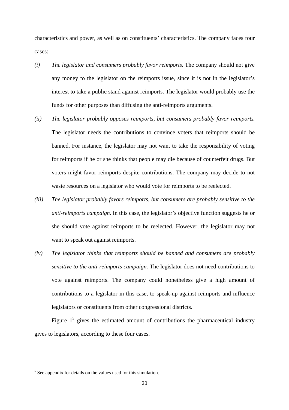characteristics and power, as well as on constituents' characteristics. The company faces four cases:

- *(i) The legislator and consumers probably favor reimports.* The company should not give any money to the legislator on the reimports issue, since it is not in the legislator's interest to take a public stand against reimports. The legislator would probably use the funds for other purposes than diffusing the anti-reimports arguments.
- *(ii) The legislator probably opposes reimports, but consumers probably favor reimports*. The legislator needs the contributions to convince voters that reimports should be banned. For instance, the legislator may not want to take the responsibility of voting for reimports if he or she thinks that people may die because of counterfeit drugs. But voters might favor reimports despite contributions. The company may decide to not waste resources on a legislator who would vote for reimports to be reelected.
- *(iii) The legislator probably favors reimports, but consumers are probably sensitive to the anti-reimports campaign.* In this case, the legislator's objective function suggests he or she should vote against reimports to be reelected. However, the legislator may not want to speak out against reimports.
- *(iv) The legislator thinks that reimports should be banned and consumers are probably sensitive to the anti-reimports campaign.* The legislator does not need contributions to vote against reimports. The company could nonetheless give a high amount of contributions to a legislator in this case, to speak-up against reimports and influence legislators or constituents from other congressional districts.

Figure  $1<sup>5</sup>$  gives the estimated amount of contributions the pharmaceutical industry gives to legislators, according to these four cases.

<sup>&</sup>lt;sup>5</sup> See appendix for details on the values used for this simulation.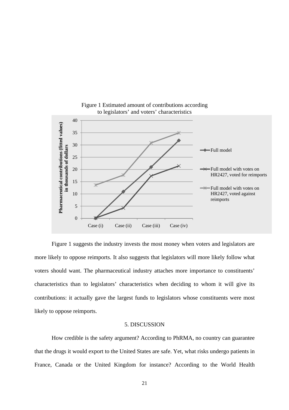

Figure 1 Estimated amount of contributions according to legislators' and voters' characteristics

Figure 1 suggests the industry invests the most money when voters and legislators are more likely to oppose reimports. It also suggests that legislators will more likely follow what voters should want. The pharmaceutical industry attaches more importance to constituents' characteristics than to legislators' characteristics when deciding to whom it will give its contributions: it actually gave the largest funds to legislators whose constituents were most likely to oppose reimports.

#### 5. DISCUSSION

How credible is the safety argument? According to PhRMA, no country can guarantee that the drugs it would export to the United States are safe. Yet, what risks undergo patients in France, Canada or the United Kingdom for instance? According to the World Health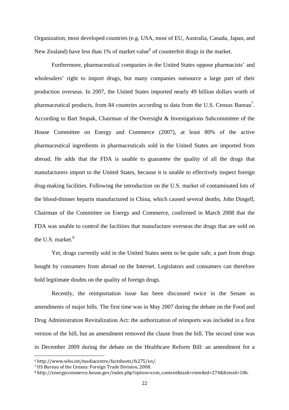Organization, most developed countries (e.g. USA, most of EU, Australia, Canada, Japan, and New Zealand) have less than 1% of market value<sup>6</sup> of counterfeit drugs in the market.

 Furthermore, pharmaceutical companies in the United States oppose pharmacists' and wholesalers' right to import drugs, but many companies outsource a large part of their production overseas. In 2007, the United States imported nearly 49 billion dollars worth of pharmaceutical products, from 84 countries according to data from the U.S. Census Bureau<sup>7</sup>. According to Bart Stupak, Chairman of the Oversight & Investigations Subcommittee of the House Committee on Energy and Commerce (2007), at least 80% of the active pharmaceutical ingredients in pharmaceuticals sold in the United States are imported from abroad. He adds that the FDA is unable to guarantee the quality of all the drugs that manufacturers import to the United States, because it is unable to effectively inspect foreign drug-making facilities. Following the introduction on the U.S. market of contaminated lots of the blood-thinner heparin manufactured in China, which caused several deaths, John Dingell, Chairman of the Committee on Energy and Commerce, confirmed in March 2008 that the FDA was unable to control the facilities that manufacture overseas the drugs that are sold on the U.S. market. $8$ 

Yet, drugs currently sold in the United States seem to be quite safe, a part from drugs bought by consumers from abroad on the Internet. Legislators and consumers can therefore hold legitimate doubts on the quality of foreign drugs.

Recently, the reimportation issue has been discussed twice in the Senate as amendments of major bills. The first time was in May 2007 during the debate on the Food and Drug Administration Revitalization Act: the authorization of reimports was included in a first version of the bill, but an amendment removed the clause from the bill. The second time was in December 2009 during the debate on the Healthcare Reform Bill: an amendment for a

<sup>6</sup> http://www.who.int/mediacentre/factsheets/fs275/en/.

<sup>7</sup> US Bureau of the Census: Foreign Trade Division, 2008.

<sup>8</sup> http://energycommerce.house.gov/index.php?option=com\_content&task=view&id=274&Itemid=106.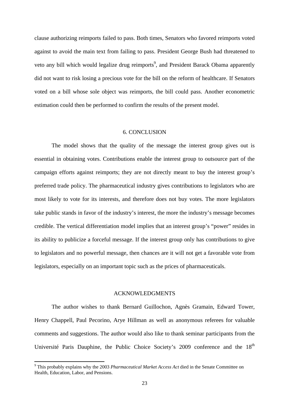clause authorizing reimports failed to pass. Both times, Senators who favored reimports voted against to avoid the main text from failing to pass. President George Bush had threatened to veto any bill which would legalize drug reimports<sup>9</sup>, and President Barack Obama apparently did not want to risk losing a precious vote for the bill on the reform of healthcare. If Senators voted on a bill whose sole object was reimports, the bill could pass. Another econometric estimation could then be performed to confirm the results of the present model.

#### 6. CONCLUSION

The model shows that the quality of the message the interest group gives out is essential in obtaining votes. Contributions enable the interest group to outsource part of the campaign efforts against reimports; they are not directly meant to buy the interest group's preferred trade policy. The pharmaceutical industry gives contributions to legislators who are most likely to vote for its interests, and therefore does not buy votes. The more legislators take public stands in favor of the industry's interest, the more the industry's message becomes credible. The vertical differentiation model implies that an interest group's "power" resides in its ability to publicize a forceful message. If the interest group only has contributions to give to legislators and no powerful message, then chances are it will not get a favorable vote from legislators, especially on an important topic such as the prices of pharmaceuticals.

#### ACKNOWLEDGMENTS

The author wishes to thank Bernard Guillochon, Agnès Gramain, Edward Tower, Henry Chappell, Paul Pecorino, Arye Hillman as well as anonymous referees for valuable comments and suggestions. The author would also like to thank seminar participants from the Université Paris Dauphine, the Public Choice Society's 2009 conference and the  $18<sup>th</sup>$ 

<sup>9</sup> This probably explains why the 2003 *Pharmaceutical Market Access Act* died in the Senate Committee on Health, Education, Labor, and Pensions.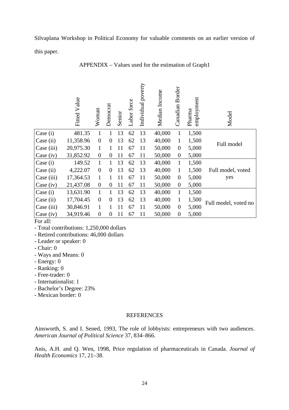Silvaplana Workshop in Political Economy for valuable comments on an earlier version of this paper.

|             | Fitted Value | Woman          | Democrat       | Senior | Labor force | Individual poverty | Median Income | Canadian Border | employment<br>Pharma | Model                |
|-------------|--------------|----------------|----------------|--------|-------------|--------------------|---------------|-----------------|----------------------|----------------------|
| Case (i)    | 481.35       |                |                | 13     | 62          | 13                 | 40,000        | $\mathbf{1}$    | 1,500                |                      |
| Case (ii)   | 11,358.96    | $\overline{0}$ | $\theta$       | 13     | 62          | 13                 | 40,000        | $\mathbf{1}$    | 1,500                | Full model           |
| Case (iii)  | 20,975.30    | 1              |                | 11     | 67          | 11                 | 50,000        | $\theta$        | 5,000                |                      |
| Case $(iv)$ | 31,852.92    | $\overline{0}$ | $\overline{0}$ | 11     | 67          | 11                 | 50,000        | $\theta$        | 5,000                |                      |
| Case (i)    | 149.52       | 1              | 1              | 13     | 62          | 13                 | 40,000        | $\mathbf{1}$    | 1,500                |                      |
| Case (ii)   | 4,222.07     | $\overline{0}$ | $\theta$       | 13     | 62          | 13                 | 40,000        | $\mathbf{1}$    | 1,500                | Full model, voted    |
| Case (iii)  | 17,364.53    | 1              | 1              | 11     | 67          | 11                 | 50,000        | $\theta$        | 5,000                | yes                  |
| Case (iv)   | 21,437.08    | $\overline{0}$ | $\theta$       | 11     | 67          | 11                 | 50,000        | $\theta$        | 5,000                |                      |
| Case (i)    | 13,631.90    | $\mathbf{1}$   | 1              | 13     | 62          | 13                 | 40,000        | $\mathbf{1}$    | 1,500                |                      |
| Case (ii)   | 17,704.45    | $\overline{0}$ | $\theta$       | 13     | 62          | 13                 | 40,000        | $\mathbf{1}$    | 1,500                | Full model, voted no |
| Case (iii)  | 30,846.91    | 1              |                | 11     | 67          | 11                 | 50,000        | $\theta$        | 5,000                |                      |
| Case $(iv)$ | 34,919.46    | $\overline{0}$ | $\theta$       | 11     | 67          | 11                 | 50,000        | $\overline{0}$  | 5,000                |                      |

APPENDIX – Values used for the estimation of Graph1

For all:

- Retired contributions: 46,000 dollars

- Leader or speaker: 0
- Chair: 0
- Ways and Means: 0
- Energy: 0
- Ranking: 0
- Free-trader: 0
- Internationalist: 1
- Bachelor's Degree: 23%
- Mexican border: 0

#### REFERENCES

Ainsworth, S. and I. Sened, 1993, The role of lobbyists: entrepreneurs with two audiences. *American Journal of Political Science* 37, 834–866.

Anis, A.H. and Q. Wen, 1998, Price regulation of pharmaceuticals in Canada. *Journal of Health Economics* 17, 21–38.

<sup>-</sup> Total contributions: 1,250,000 dollars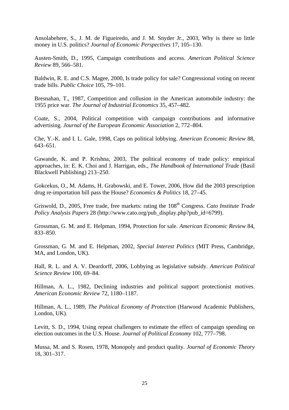Ansolabehere, S., J. M. de Figueiredo, and J. M. Snyder Jr., 2003, Why is there so little money in U.S. politics? *Journal of Economic Perspectives* 17, 105–130.

Austen-Smith, D., 1995, Campaign contributions and access. *American Political Science Review* 89, 566–581.

Baldwin, R. E. and C.S. Magee, 2000, Is trade policy for sale? Congressional voting on recent trade bills. *Public Choice* 105, 79–101.

Bresnahan, T., 1987, Competition and collusion in the American automobile industry: the 1955 price war. *The Journal of Industrial Economics* 35, 457–482.

Coate, S., 2004, Political competition with campaign contributions and informative advertising. *Journal of the European Economic Association* 2, 772–804.

Che, Y.-K. and I. L. Gale, 1998, Caps on political lobbying. *American Economic Review* 88, 643–651.

Gawande, K. and P. Krishna, 2003, The political economy of trade policy: empirical approaches, in: E. K. Choi and J. Harrigan, eds., *The Handbook of International Trade* (Basil Blackwell Publishing) 213–250.

Gokcekus, O., M. Adams, H. Grabowski, and E. Tower, 2006, How did the 2003 prescription drug re-importation bill pass the House? *Economics & Politics* 18, 27–45.

Griswold, D., 2005, Free trade, free markets: rating the 108<sup>th</sup> Congress. *Cato Institute Trade Policy Analysis Papers* 28 (http://www.cato.org/pub\_display.php?pub\_id=6799).

Grossman, G. M. and E. Helpman, 1994, Protection for sale. *American Economic Review* 84, 833–850.

Grossman, G. M. and E. Helpman, 2002, *Special Interest Politics* (MIT Press, Cambridge, MA, and London, UK).

Hall, R. L. and A. V. Deardorff, 2006, Lobbying as legislative subsidy. *American Political Science Review* 100, 69–84.

Hillman, A. L., 1982, Declining industries and political support protectionist motives. *American Economic Review* 72, 1180–1187.

Hillman, A. L., 1989, *The Political Economy of Protection* (Harwood Academic Publishers, London, UK).

Levitt, S. D., 1994, Using repeat challengers to estimate the effect of campaign spending on election outcomes in the U.S. House. *Journal of Political Economy* 102, 777–798.

Mussa, M. and S. Rosen, 1978, Monopoly and product quality. *Journal of Economic Theory* 18, 301–317.